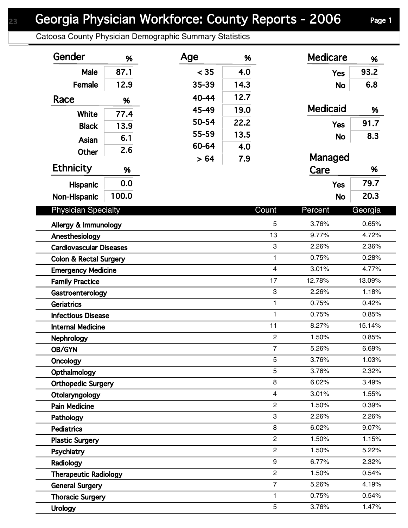## Georgia Physician Workforce: County Reports - 2006 Page 1

Catoosa County Physician Demographic Summary Statistics

| Gender                            | %     | Age   | %    |                           | <b>Medicare</b> | %       |  |
|-----------------------------------|-------|-------|------|---------------------------|-----------------|---------|--|
| Male                              | 87.1  | < 35  | 4.0  |                           | <b>Yes</b>      | 93.2    |  |
| Female                            | 12.9  | 35-39 | 14.3 |                           | <b>No</b>       | 6.8     |  |
| Race                              | %     | 40-44 | 12.7 |                           |                 |         |  |
|                                   |       | 45-49 | 19.0 |                           | <b>Medicaid</b> | %       |  |
| <b>White</b>                      | 77.4  | 50-54 | 22.2 |                           |                 | 91.7    |  |
| <b>Black</b>                      | 13.9  | 55-59 | 13.5 |                           | <b>Yes</b>      |         |  |
| Asian                             | 6.1   | 60-64 | 4.0  |                           | <b>No</b>       | 8.3     |  |
| Other                             | 2.6   | > 64  | 7.9  |                           | Managed         |         |  |
| <b>Ethnicity</b>                  | %     |       |      |                           | Care            | %       |  |
|                                   | 0.0   |       |      |                           |                 | 79.7    |  |
| <b>Hispanic</b>                   |       |       |      |                           | <b>Yes</b>      |         |  |
| Non-Hispanic                      | 100.0 |       |      |                           | <b>No</b>       | 20.3    |  |
| <b>Physician Specialty</b>        |       |       |      | Count                     | Percent         | Georgia |  |
| Allergy & Immunology              |       |       |      | 5                         | 3.76%           | 0.65%   |  |
| Anesthesiology                    |       |       |      | 13                        | 9.77%           | 4.72%   |  |
| <b>Cardiovascular Diseases</b>    |       |       |      | $\ensuremath{\mathsf{3}}$ | 2.26%           | 2.36%   |  |
| <b>Colon &amp; Rectal Surgery</b> |       |       |      | $\mathbf{1}$              | 0.75%           | 0.28%   |  |
| <b>Emergency Medicine</b>         |       |       |      | $\overline{\mathbf{4}}$   | 3.01%           | 4.77%   |  |
| <b>Family Practice</b>            |       |       |      | 17                        | 12.78%          | 13.09%  |  |
| Gastroenterology                  |       |       |      | 3                         | 2.26%           | 1.18%   |  |
| <b>Geriatrics</b>                 |       |       |      | $\mathbf{1}$              | 0.75%           | 0.42%   |  |
| <b>Infectious Disease</b>         |       |       |      | $\mathbf{1}$              | 0.75%           | 0.85%   |  |
| <b>Internal Medicine</b>          |       |       |      | 11                        | 8.27%           | 15.14%  |  |
| Nephrology                        |       |       |      | $\overline{c}$            | 1.50%           | 0.85%   |  |
| OB/GYN                            |       |       |      | $\overline{7}$            | 5.26%           | 6.69%   |  |
| Oncology                          |       |       |      | 5                         | 3.76%           | 1.03%   |  |
| Opthalmology                      |       |       |      | 5                         | 3.76%           | 2.32%   |  |
| <b>Orthopedic Surgery</b>         |       |       |      | 8                         | 6.02%           | 3.49%   |  |
| Otolaryngology                    |       |       |      | $\overline{4}$            | 3.01%           | 1.55%   |  |
| <b>Pain Medicine</b>              |       |       |      | $\mathbf{2}$              | 1.50%           | 0.39%   |  |
| Pathology                         |       |       |      | 3                         | 2.26%           | 2.26%   |  |
| <b>Pediatrics</b>                 |       |       |      | 8                         | 6.02%           | 9.07%   |  |
| <b>Plastic Surgery</b>            |       |       |      | $\overline{c}$            | 1.50%           | 1.15%   |  |
| Psychiatry                        |       |       |      | $\overline{c}$            | 1.50%           | 5.22%   |  |
| Radiology                         |       |       |      | 9                         | 6.77%           | 2.32%   |  |
| <b>Therapeutic Radiology</b>      |       |       |      | $\mathbf{2}$              | 1.50%           | 0.54%   |  |
| <b>General Surgery</b>            |       |       |      | $\overline{7}$            | 5.26%           | 4.19%   |  |
| <b>Thoracic Surgery</b>           |       |       |      | $\mathbf{1}$              | 0.75%           | 0.54%   |  |
| <b>Urology</b>                    |       |       |      | 5                         | 3.76%           | 1.47%   |  |